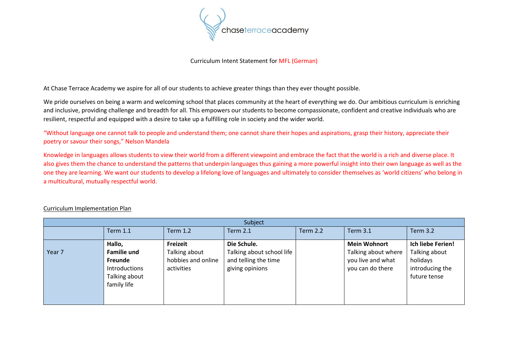

## Curriculum Intent Statement for MFL (German)

At Chase Terrace Academy we aspire for all of our students to achieve greater things than they ever thought possible.

We pride ourselves on being a warm and welcoming school that places community at the heart of everything we do. Our ambitious curriculum is enriching and inclusive, providing challenge and breadth for all. This empowers our students to become compassionate, confident and creative individuals who are resilient, respectful and equipped with a desire to take up a fulfilling role in society and the wider world.

"Without language one cannot talk to people and understand them; one cannot share their hopes and aspirations, grasp their history, appreciate their poetry or savour their songs," Nelson Mandela

Knowledge in languages allows students to view their world from a different viewpoint and embrace the fact that the world is a rich and diverse place. It also gives them the chance to understand the patterns that underpin languages thus gaining a more powerful insight into their own language as well as the one they are learning. We want our students to develop a lifelong love of languages and ultimately to consider themselves as 'world citizens' who belong in a multicultural, mutually respectful world.

| Subject |                                                                                |                                                   |                                                                      |                 |                                                              |                                                              |  |  |  |  |
|---------|--------------------------------------------------------------------------------|---------------------------------------------------|----------------------------------------------------------------------|-----------------|--------------------------------------------------------------|--------------------------------------------------------------|--|--|--|--|
|         | <b>Term 1.1</b>                                                                | <b>Term 1.2</b>                                   | <b>Term 2.1</b>                                                      | <b>Term 2.2</b> | <b>Term 3.1</b>                                              | <b>Term 3.2</b>                                              |  |  |  |  |
|         | Hallo,                                                                         | <b>Freizeit</b>                                   | Die Schule.                                                          |                 | <b>Mein Wohnort</b>                                          | Ich liebe Ferien!                                            |  |  |  |  |
| Year 7  | <b>Familie und</b><br>Freunde<br>Introductions<br>Talking about<br>family life | Talking about<br>hobbies and online<br>activities | Talking about school life<br>and telling the time<br>giving opinions |                 | Talking about where<br>you live and what<br>you can do there | Talking about<br>holidays<br>introducing the<br>future tense |  |  |  |  |

## Curriculum Implementation Plan